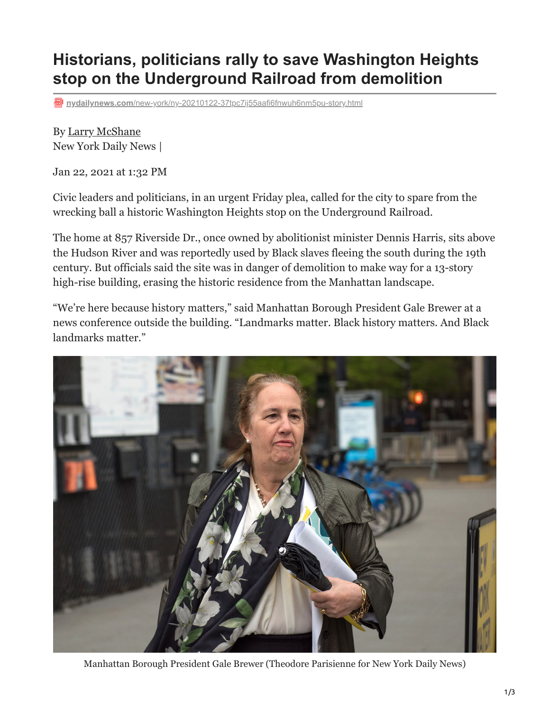## **Historians, politicians rally to save Washington Heights stop on the Underground Railroad from demolition**

**nydailynews.com**[/new-york/ny-20210122-37tpc7ij55aafi6fnwuh6nm5pu-story.html](https://www.nydailynews.com/new-york/ny-20210122-37tpc7ij55aafi6fnwuh6nm5pu-story.html)

By [Larry McShane](https://www.nydailynews.com/larry-mcshane-staff.html#nt=byline) New York Daily News |

Jan 22, 2021 at 1:32 PM

Civic leaders and politicians, in an urgent Friday plea, called for the city to spare from the wrecking ball a historic Washington Heights stop on the Underground Railroad.

The home at 857 Riverside Dr., once owned by abolitionist minister Dennis Harris, sits above the Hudson River and was reportedly used by Black slaves fleeing the south during the 19th century. But officials said the site was in danger of demolition to make way for a 13-story high-rise building, erasing the historic residence from the Manhattan landscape.

"We're here because history matters," said Manhattan Borough President Gale Brewer at a news conference outside the building. "Landmarks matter. Black history matters. And Black landmarks matter."



Manhattan Borough President Gale Brewer (Theodore Parisienne for New York Daily News)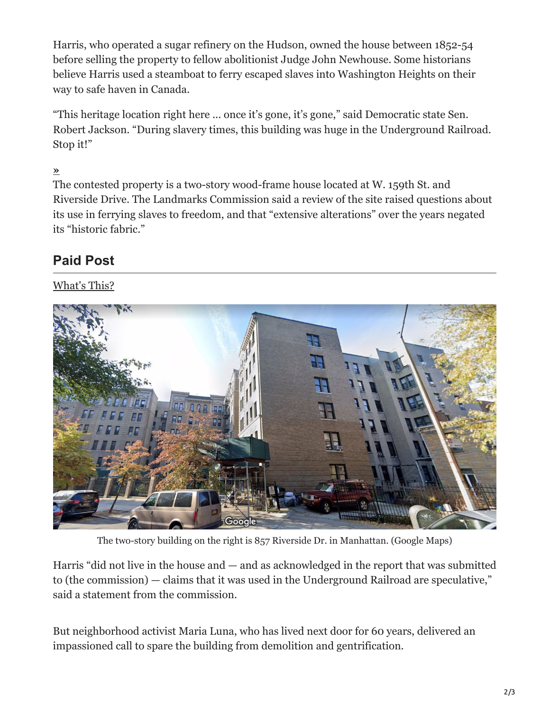Harris, who operated a sugar refinery on the Hudson, owned the house between 1852-54 before selling the property to fellow abolitionist Judge John Newhouse. Some historians believe Harris used a steamboat to ferry escaped slaves into Washington Heights on their way to safe haven in Canada.

"This heritage location right here ... once it's gone, it's gone," said Democratic state Sen. Robert Jackson. "During slavery times, this building was huge in the Underground Railroad. Stop it!"

## **[»](https://www.nydailynews.com/new-york/ny-crime-stoppers-reward-brooklyn-subway-shooting-20220415-7f3j7rnetvaczbbrtro5r6x6ri-story.html#nt=interstitial-auto)**

The contested property is a two-story wood-frame house located at W. 159th St. and Riverside Drive. The Landmarks Commission said a review of the site raised questions about its use in ferrying slaves to freedom, and that "extensive alterations" over the years negated its "historic fabric."

## **Paid Post**

## What's This?



The two-story building on the right is 857 Riverside Dr. in Manhattan. (Google Maps)

Harris "did not live in the house and — and as acknowledged in the report that was submitted to (the commission) — claims that it was used in the Underground Railroad are speculative," said a statement from the commission.

But neighborhood activist Maria Luna, who has lived next door for 60 years, delivered an impassioned call to spare the building from demolition and gentrification.